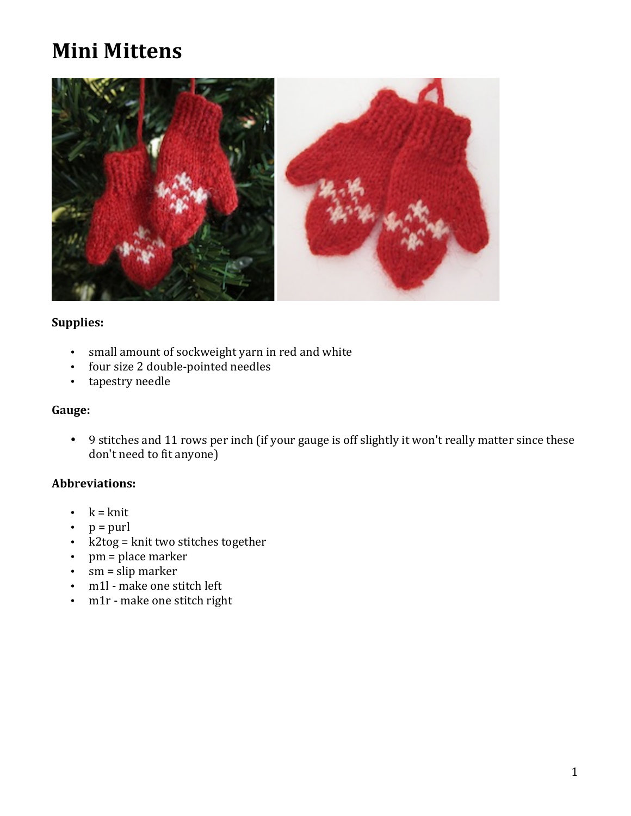# **Mini Mittens**



# **Supplies:**

- small amount of sockweight yarn in red and white
- four size 2 double-pointed needles
- tapestry needle

# **Gauge:**

• 9 stitches and 11 rows per inch (if your gauge is off slightly it won't really matter since these don't need to fit anyone)

#### **Abbreviations:**

- $k = k$ nit
- $p =$  purl
- k2tog = knit two stitches together
- $pm = place marker$
- $sm =$ slip marker
- m1l make one stitch left
- m1r make one stitch right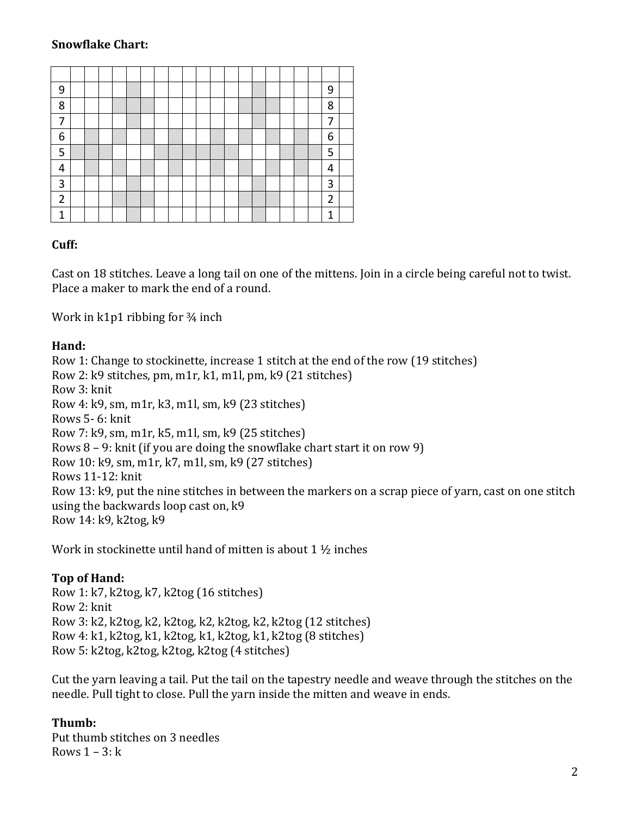# **Snowflake Chart:**

| 9              |  |  |  |  |  |  |  |  |  | 9 |  |
|----------------|--|--|--|--|--|--|--|--|--|---|--|
| 8              |  |  |  |  |  |  |  |  |  | 8 |  |
| ⇁              |  |  |  |  |  |  |  |  |  | 7 |  |
| 6              |  |  |  |  |  |  |  |  |  | 6 |  |
| 5              |  |  |  |  |  |  |  |  |  | 5 |  |
| 4              |  |  |  |  |  |  |  |  |  | 4 |  |
| 3              |  |  |  |  |  |  |  |  |  | 3 |  |
| $\overline{2}$ |  |  |  |  |  |  |  |  |  | 2 |  |
| 1              |  |  |  |  |  |  |  |  |  | 1 |  |

#### **Cuff:**

Cast on 18 stitches. Leave a long tail on one of the mittens. Join in a circle being careful not to twist. Place a maker to mark the end of a round.

Work in  $k1p1$  ribbing for  $\frac{3}{4}$  inch

### **Hand:**

Row 1: Change to stockinette, increase 1 stitch at the end of the row (19 stitches) Row 2:  $k9$  stitches, pm, m1r, k1, m1l, pm, k9 (21 stitches) Row 3: knit Row 4:  $k9$ , sm,  $m1r$ ,  $k3$ ,  $m1l$ , sm,  $k9$  (23 stitches) Rows 5- 6: knit Row 7:  $k9$ , sm,  $m1r$ ,  $k5$ ,  $m1l$ , sm,  $k9$  (25 stitches) Rows  $8 - 9$ : knit (if you are doing the snowflake chart start it on row 9) Row 10: k9, sm, m1r, k7, m1l, sm, k9 (27 stitches) Rows 11-12: knit Row 13: k9, put the nine stitches in between the markers on a scrap piece of yarn, cast on one stitch using the backwards loop cast on,  $k9$ Row 14: k9, k2tog, k9

Work in stockinette until hand of mitten is about 1  $\frac{1}{2}$  inches

#### **Top** of Hand:

Row 1: k7, k2tog, k7, k2tog (16 stitches) Row 2: knit Row 3: k2, k2tog, k2, k2tog, k2, k2tog, k2, k2tog (12 stitches) Row  $4: k1, k2tog, k1, k2tog, k1, k2tog, k1, k2tog (8 stitches)$ Row 5: k2tog, k2tog, k2tog, k2tog (4 stitches)

Cut the yarn leaving a tail. Put the tail on the tapestry needle and weave through the stitches on the needle. Pull tight to close. Pull the yarn inside the mitten and weave in ends.

## **Thumb:**

Put thumb stitches on 3 needles Rows  $1 - 3$ :  $k$